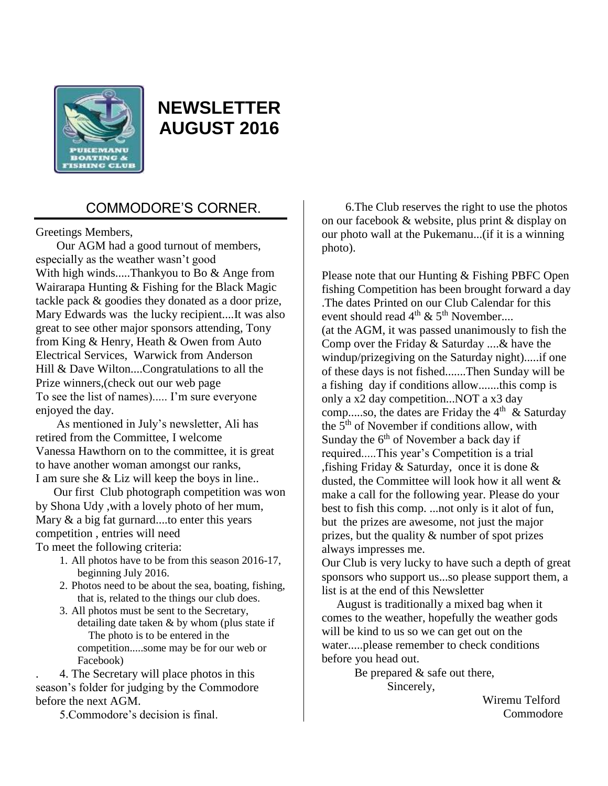

# **NEWSLETTER AUGUST 2016**

# COMMODORE'S CORNER.

Greetings Members,

 Our AGM had a good turnout of members, especially as the weather wasn't good With high winds.....Thankyou to Bo & Ange from Wairarapa Hunting & Fishing for the Black Magic tackle pack & goodies they donated as a door prize, Mary Edwards was the lucky recipient....It was also great to see other major sponsors attending, Tony from King & Henry, Heath & Owen from Auto Electrical Services, Warwick from Anderson Hill & Dave Wilton....Congratulations to all the Prize winners,(check out our web page To see the list of names)..... I'm sure everyone enjoyed the day.

 As mentioned in July's newsletter, Ali has retired from the Committee, I welcome Vanessa Hawthorn on to the committee, it is great to have another woman amongst our ranks, I am sure she & Liz will keep the boys in line..

 Our first Club photograph competition was won by Shona Udy ,with a lovely photo of her mum, Mary & a big fat gurnard....to enter this years competition , entries will need To meet the following criteria:

- 1. All photos have to be from this season 2016-17, beginning July 2016.
- 2. Photos need to be about the sea, boating, fishing, that is, related to the things our club does.
- 3. All photos must be sent to the Secretary, detailing date taken & by whom (plus state if The photo is to be entered in the competition.....some may be for our web or Facebook)

. 4. The Secretary will place photos in this season's folder for judging by the Commodore before the next AGM.

5.Commodore's decision is final.

 6.The Club reserves the right to use the photos on our facebook & website, plus print & display on our photo wall at the Pukemanu...(if it is a winning photo).

Please note that our Hunting & Fishing PBFC Open fishing Competition has been brought forward a day .The dates Printed on our Club Calendar for this event should read  $4<sup>th</sup>$  &  $5<sup>th</sup>$  November.... (at the AGM, it was passed unanimously to fish the Comp over the Friday & Saturday ....& have the windup/prizegiving on the Saturday night).....if one of these days is not fished.......Then Sunday will be a fishing day if conditions allow.......this comp is only a x2 day competition...NOT a x3 day comp.....so, the dates are Friday the  $4<sup>th</sup>$  & Saturday the 5<sup>th</sup> of November if conditions allow, with Sunday the  $6<sup>th</sup>$  of November a back day if required.....This year's Competition is a trial ,fishing Friday & Saturday, once it is done & dusted, the Committee will look how it all went & make a call for the following year. Please do your best to fish this comp. ...not only is it alot of fun, but the prizes are awesome, not just the major prizes, but the quality & number of spot prizes always impresses me.

Our Club is very lucky to have such a depth of great sponsors who support us...so please support them, a list is at the end of this Newsletter

 August is traditionally a mixed bag when it comes to the weather, hopefully the weather gods will be kind to us so we can get out on the water.....please remember to check conditions before you head out.

Be prepared  $&$  safe out there, Sincerely,

> Wiremu Telford Commodore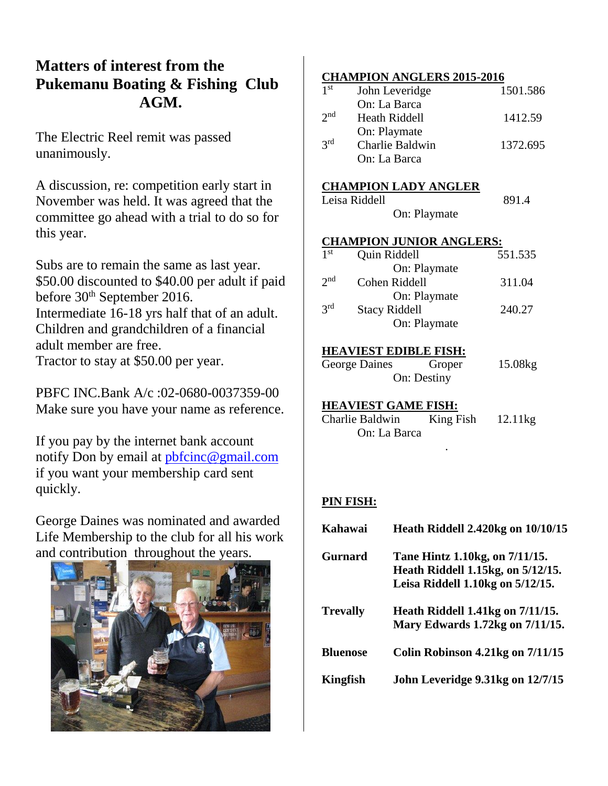# **Matters of interest from the Pukemanu Boating & Fishing Club AGM.**

The Electric Reel remit was passed unanimously.

A discussion, re: competition early start in November was held. It was agreed that the committee go ahead with a trial to do so for this year.

Subs are to remain the same as last year. \$50.00 discounted to \$40.00 per adult if paid before 30<sup>th</sup> September 2016. Intermediate 16-18 yrs half that of an adult. Children and grandchildren of a financial adult member are free. Tractor to stay at \$50.00 per year.

PBFC INC.Bank A/c :02-0680-0037359-00 Make sure you have your name as reference.

If you pay by the internet bank account notify Don by email at [pbfcinc@gmail.com](mailto:pbfcinc@gmail.com)  if you want your membership card sent quickly.

George Daines was nominated and awarded Life Membership to the club for all his work and contribution throughout the years.



### **CHAMPION ANGLERS 2015-2016**

| 1 <sup>st</sup> | John Leveridge  | 1501.586 |
|-----------------|-----------------|----------|
|                 | On: La Barca    |          |
| $2^{nd}$        | Heath Riddell   | 1412.59  |
|                 | On: Playmate    |          |
| 2rd             | Charlie Baldwin | 1372.695 |
|                 | On: La Barca    |          |

#### **CHAMPION LADY ANGLER**

Leisa Riddell 891.4 On: Playmate

### **CHAMPION JUNIOR ANGLERS:**

| 1 <sup>st</sup> | Quin Riddell         | 551.535 |
|-----------------|----------------------|---------|
|                 | On: Playmate         |         |
| 2 <sub>nd</sub> | Cohen Riddell        | 311.04  |
|                 | On: Playmate         |         |
| 2rd             | <b>Stacy Riddell</b> | 240.27  |
|                 | On: Playmate         |         |

### **HEAVIEST EDIBLE FISH:**

| George Daines | Groper | 15.08kg |
|---------------|--------|---------|
| On: Destiny   |        |         |

#### **HEAVIEST GAME FISH:**

| Charlie Baldwin | King Fish | $12.11$ kg |
|-----------------|-----------|------------|
| On: La Barca    |           |            |

.

### **PIN FISH:**

| Kahawai         | <b>Heath Riddell 2.420kg on 10/10/15</b> |
|-----------------|------------------------------------------|
| Gurnard         | Tane Hintz 1.10kg, on 7/11/15.           |
|                 | Heath Riddell 1.15kg, on 5/12/15.        |
|                 | Leisa Riddell 1.10kg on 5/12/15.         |
| <b>Trevally</b> | Heath Riddell 1.41kg on 7/11/15.         |
|                 | Mary Edwards 1.72kg on 7/11/15.          |
| <b>Bluenose</b> | Colin Robinson 4.21kg on 7/11/15         |
| Kingfish        | John Leveridge 9.31kg on 12/7/15         |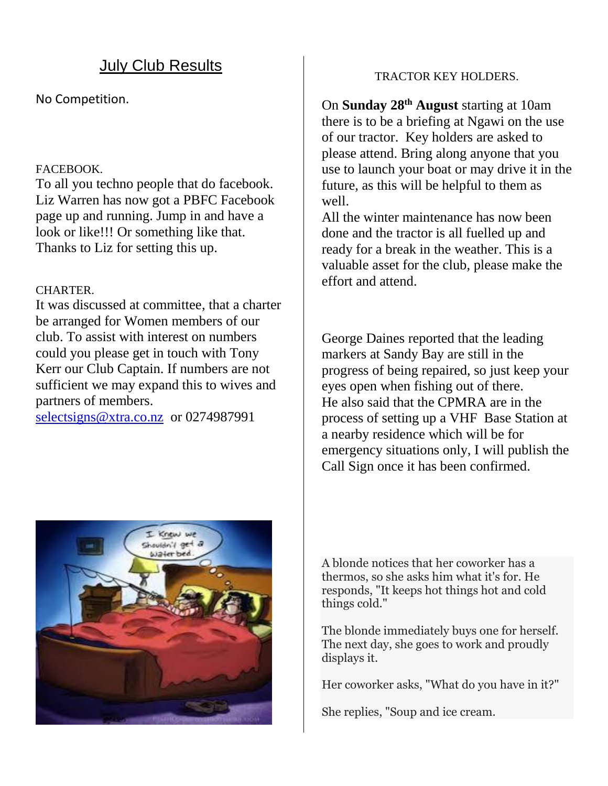# July Club Results

No Competition.

## FACEBOOK.

To all you techno people that do facebook. Liz Warren has now got a PBFC Facebook page up and running. Jump in and have a look or like!!! Or something like that. Thanks to Liz for setting this up.

## CHARTER.

It was discussed at committee, that a charter be arranged for Women members of our club. To assist with interest on numbers could you please get in touch with Tony Kerr our Club Captain. If numbers are not sufficient we may expand this to wives and partners of members.

[selectsigns@xtra.co.nz](mailto:selectsigns@xtra.co.nz) or 0274987991



On **Sunday 28th August** starting at 10am there is to be a briefing at Ngawi on the use of our tractor. Key holders are asked to please attend. Bring along anyone that you use to launch your boat or may drive it in the future, as this will be helpful to them as well.

All the winter maintenance has now been done and the tractor is all fuelled up and ready for a break in the weather. This is a valuable asset for the club, please make the effort and attend.

George Daines reported that the leading markers at Sandy Bay are still in the progress of being repaired, so just keep your eyes open when fishing out of there. He also said that the CPMRA are in the process of setting up a VHF Base Station at a nearby residence which will be for emergency situations only, I will publish the Call Sign once it has been confirmed.



A blonde notices that her coworker has a thermos, so she asks him what it's for. He responds, "It keeps hot things hot and cold things cold."

The blonde immediately buys one for herself. The next day, she goes to work and proudly displays it.

Her coworker asks, "What do you have in it?"

She replies, "Soup and ice cream.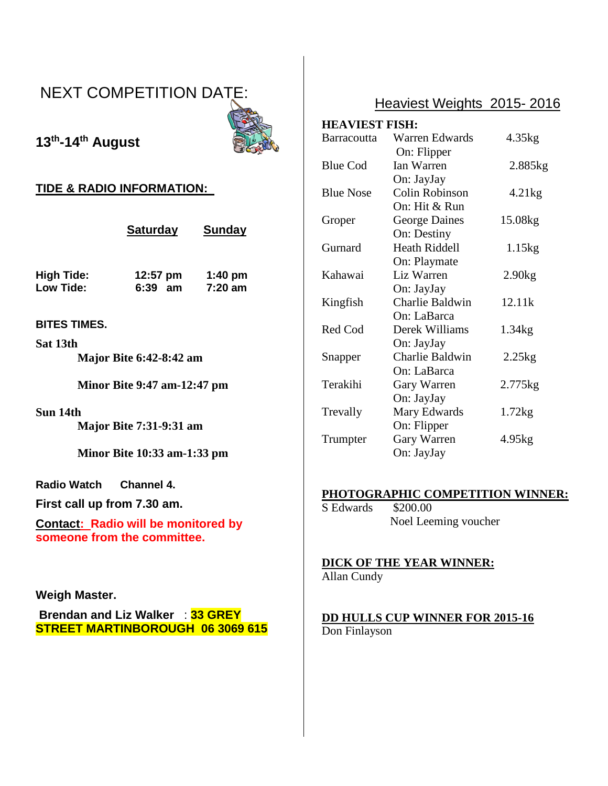# NEXT COMPETITION DATE:



**13th -14th August**

## **TIDE & RADIO INFORMATION:**

|            | <b>Saturday</b> | <b>Sunday</b> |
|------------|-----------------|---------------|
| High Tide: | 12:57 pm        | $1:40$ pm     |
| Low Tide:  | $6:39$ am       | $7:20$ am     |

### **BITES TIMES.**

**Sat 13th**

 **Major Bite 6:42-8:42 am**

**Minor Bite 9:47 am-12:47 pm**

**Sun 14th Major Bite 7:31-9:31 am**

 **Minor Bite 10:33 am-1:33 pm**

**Radio Watch Channel 4.** 

**First call up from 7.30 am.**

**Contact: Radio will be monitored by someone from the committee.**

**Weigh Master.** 

**Brendan and Liz Walker** : **33 GREY STREET MARTINBOROUGH 06 3069 615** 

## Heaviest Weights 2015- 2016

| <b>HEAVIEST FISH:</b> |                      |            |
|-----------------------|----------------------|------------|
| <b>Barracoutta</b>    | Warren Edwards       | 4.35kg     |
|                       | On: Flipper          |            |
| <b>Blue Cod</b>       | Ian Warren           | 2.885kg    |
|                       | On: JayJay           |            |
| <b>Blue Nose</b>      | Colin Robinson       | 4.21kg     |
|                       | On: Hit & Run        |            |
| Groper                | George Daines        | 15.08kg    |
|                       | On: Destiny          |            |
| Gurnard               | <b>Heath Riddell</b> | 1.15kg     |
|                       | On: Playmate         |            |
| Kahawai               | Liz Warren           | 2.90kg     |
|                       | On: JayJay           |            |
| Kingfish              | Charlie Baldwin      | 12.11k     |
|                       | On: LaBarca          |            |
| Red Cod               | Derek Williams       | 1.34kg     |
|                       | On: JayJay           |            |
| Snapper               | Charlie Baldwin      | $2.25$ kg  |
|                       | On: LaBarca          |            |
| Terakihi              | Gary Warren          | $2.775$ kg |
|                       | On: JayJay           |            |
| Trevally              | Mary Edwards         | 1.72kg     |
|                       | On: Flipper          |            |
| Trumpter              | Gary Warren          | 4.95kg     |
|                       | On: JayJay           |            |

#### **PHOTOGRAPHIC COMPETITION WINNER:**

S Edwards \$200.00 Noel Leeming voucher

**DICK OF THE YEAR WINNER:**  Allan Cundy

**DD HULLS CUP WINNER FOR 2015-16** Don Finlayson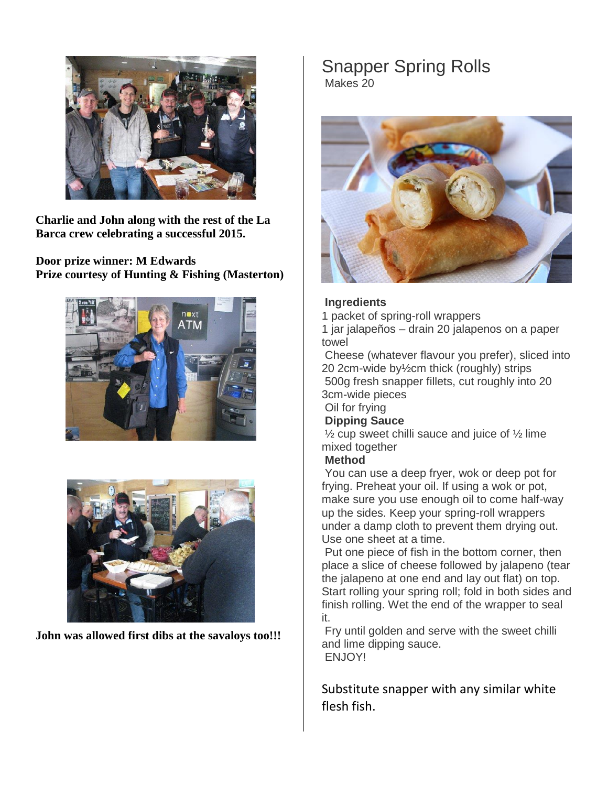

**Charlie and John along with the rest of the La Barca crew celebrating a successful 2015.**

**Door prize winner: M Edwards Prize courtesy of Hunting & Fishing (Masterton)**





**John was allowed first dibs at the savaloys too!!!**

## Snapper Spring Rolls Makes 20



### **Ingredients**

1 packet of spring-roll wrappers

1 jar jalapeños – drain 20 jalapenos on a paper towel

Cheese (whatever flavour you prefer), sliced into 20 2cm-wide by½cm thick (roughly) strips

500g fresh snapper fillets, cut roughly into 20 3cm-wide pieces

# Oil for frying

**Dipping Sauce**

 $\frac{1}{2}$  cup sweet chilli sauce and juice of  $\frac{1}{2}$  lime mixed together

### **Method**

You can use a deep fryer, wok or deep pot for frying. Preheat your oil. If using a wok or pot, make sure you use enough oil to come half-way up the sides. Keep your spring-roll wrappers under a damp cloth to prevent them drying out. Use one sheet at a time.

Put one piece of fish in the bottom corner, then place a slice of cheese followed by jalapeno (tear the jalapeno at one end and lay out flat) on top. Start rolling your spring roll; fold in both sides and finish rolling. Wet the end of the wrapper to seal it.

Fry until golden and serve with the sweet chilli and lime dipping sauce. ENJOY!

Substitute snapper with any similar white flesh fish.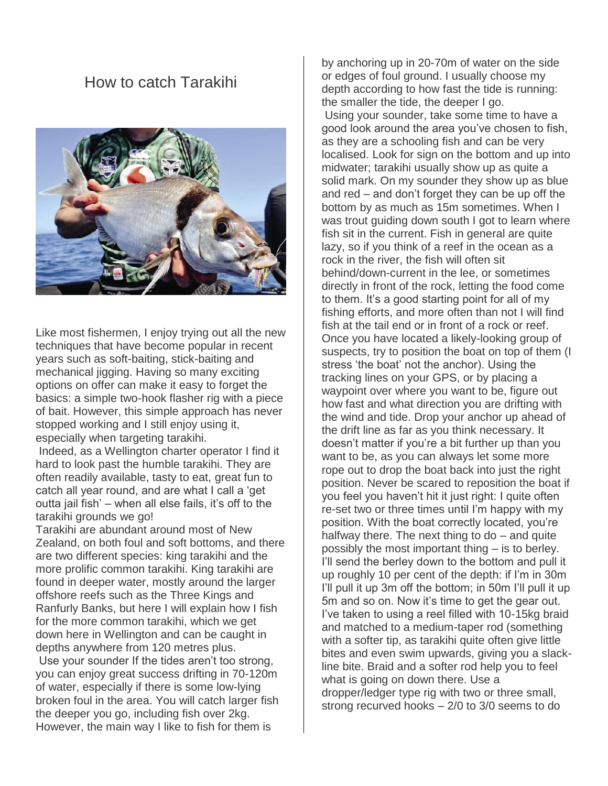# How to catch Tarakihi



Like most fishermen, I enjoy trying out all the new techniques that have become popular in recent years such as soft-baiting, stick-baiting and mechanical jigging. Having so many exciting options on offer can make it easy to forget the basics: a simple two-hook flasher rig with a piece of bait. However, this simple approach has never stopped working and I still enjoy using it, especially when targeting tarakihi.

Indeed, as a Wellington charter operator I find it hard to look past the humble tarakihi. They are often readily available, tasty to eat, great fun to catch all year round, and are what I call a 'get outta jail fish' – when all else fails, it's off to the tarakihi grounds we go!

Tarakihi are abundant around most of New Zealand, on both foul and soft bottoms, and there are two different species: king tarakihi and the more prolific common tarakihi. King tarakihi are found in deeper water, mostly around the larger offshore reefs such as the Three Kings and Ranfurly Banks, but here I will explain how I fish for the more common tarakihi, which we get down here in Wellington and can be caught in depths anywhere from 120 metres plus.

Use your sounder If the tides aren't too strong, you can enjoy great success drifting in 70-120m of water, especially if there is some low-lying broken foul in the area. You will catch larger fish the deeper you go, including fish over 2kg. However, the main way I like to fish for them is

by anchoring up in 20-70m of water on the side or edges of foul ground. I usually choose my depth according to how fast the tide is running: the smaller the tide, the deeper I go. Using your sounder, take some time to have a good look around the area you've chosen to fish, as they are a schooling fish and can be very localised. Look for sign on the bottom and up into midwater; tarakihi usually show up as quite a solid mark. On my sounder they show up as blue and red – and don't forget they can be up off the bottom by as much as 15m sometimes. When I was trout guiding down south I got to learn where fish sit in the current. Fish in general are quite lazy, so if you think of a reef in the ocean as a rock in the river, the fish will often sit behind/down-current in the lee, or sometimes directly in front of the rock, letting the food come to them. It's a good starting point for all of my fishing efforts, and more often than not I will find fish at the tail end or in front of a rock or reef. Once you have located a likely-looking group of suspects, try to position the boat on top of them (I stress 'the boat' not the anchor). Using the tracking lines on your GPS, or by placing a waypoint over where you want to be, figure out how fast and what direction you are drifting with the wind and tide. Drop your anchor up ahead of the drift line as far as you think necessary. It doesn't matter if you're a bit further up than you want to be, as you can always let some more rope out to drop the boat back into just the right position. Never be scared to reposition the boat if you feel you haven't hit it just right: I quite often re-set two or three times until I'm happy with my position. With the boat correctly located, you're halfway there. The next thing to do – and quite possibly the most important thing – is to berley. I'll send the berley down to the bottom and pull it up roughly 10 per cent of the depth: if I'm in 30m I'll pull it up 3m off the bottom; in 50m I'll pull it up 5m and so on. Now it's time to get the gear out. I've taken to using a reel filled with 10-15kg braid and matched to a medium-taper rod (something with a softer tip, as tarakihi quite often give little bites and even swim upwards, giving you a slackline bite. Braid and a softer rod help you to feel what is going on down there. Use a dropper/ledger type rig with two or three small, strong recurved hooks – 2/0 to 3/0 seems to do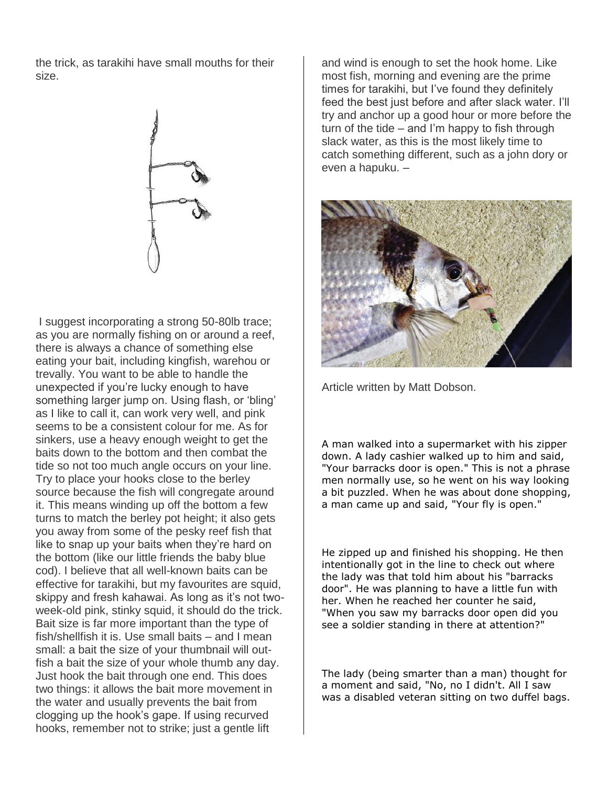the trick, as tarakihi have small mouths for their size.



I suggest incorporating a strong 50-80lb trace; as you are normally fishing on or around a reef, there is always a chance of something else eating your bait, including kingfish, warehou or trevally. You want to be able to handle the unexpected if you're lucky enough to have something larger jump on. Using flash, or 'bling' as I like to call it, can work very well, and pink seems to be a consistent colour for me. As for sinkers, use a heavy enough weight to get the baits down to the bottom and then combat the tide so not too much angle occurs on your line. Try to place your hooks close to the berley source because the fish will congregate around it. This means winding up off the bottom a few turns to match the berley pot height; it also gets you away from some of the pesky reef fish that like to snap up your baits when they're hard on the bottom (like our little friends the baby blue cod). I believe that all well-known baits can be effective for tarakihi, but my favourites are squid, skippy and fresh kahawai. As long as it's not twoweek-old pink, stinky squid, it should do the trick. Bait size is far more important than the type of fish/shellfish it is. Use small baits – and I mean small: a bait the size of your thumbnail will outfish a bait the size of your whole thumb any day. Just hook the bait through one end. This does two things: it allows the bait more movement in the water and usually prevents the bait from clogging up the hook's gape. If using recurved hooks, remember not to strike; just a gentle lift

and wind is enough to set the hook home. Like most fish, morning and evening are the prime times for tarakihi, but I've found they definitely feed the best just before and after slack water. I'll try and anchor up a good hour or more before the turn of the tide – and I'm happy to fish through slack water, as this is the most likely time to catch something different, such as a john dory or even a hapuku. –



Article written by Matt Dobson.

A man walked into a supermarket with his zipper down. A lady cashier walked up to him and said, "Your barracks door is open." This is not a phrase men normally use, so he went on his way looking a bit puzzled. When he was about done shopping, a man came up and said, "Your fly is open."

He zipped up and finished his shopping. He then intentionally got in the line to check out where the lady was that told him about his "barracks door". He was planning to have a little fun with her. When he reached her counter he said, "When you saw my barracks door open did you see a soldier standing in there at attention?"

The lady (being smarter than a man) thought for a moment and said, "No, no I didn't. All I saw was a disabled veteran sitting on two duffel bags.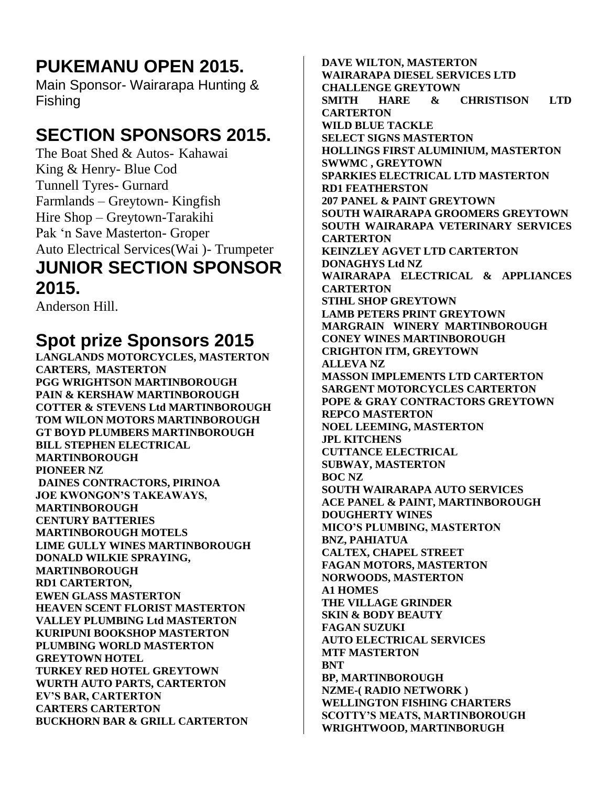# **PUKEMANU OPEN 2015.**

Main Sponsor- Wairarapa Hunting & Fishing

# **SECTION SPONSORS 2015.**

The Boat Shed & Autos- Kahawai King & Henry- Blue Cod Tunnell Tyres- Gurnard Farmlands - Greytown- Kingfish Hire Shop – Greytown-Tarakihi Pak 'n Save Masterton- Groper Auto Electrical Services(Wai )- Trumpeter **JUNIOR SECTION SPONSOR 2015.**

Anderson Hill.

# **Spot prize Sponsors 2015**

**LANGLANDS MOTORCYCLES, MASTERTON CARTERS, MASTERTON PGG WRIGHTSON MARTINBOROUGH PAIN & KERSHAW MARTINBOROUGH COTTER & STEVENS Ltd MARTINBOROUGH TOM WILON MOTORS MARTINBOROUGH GT BOYD PLUMBERS MARTINBOROUGH BILL STEPHEN ELECTRICAL MARTINBOROUGH PIONEER NZ DAINES CONTRACTORS, PIRINOA JOE KWONGON'S TAKEAWAYS, MARTINBOROUGH CENTURY BATTERIES MARTINBOROUGH MOTELS LIME GULLY WINES MARTINBOROUGH DONALD WILKIE SPRAYING, MARTINBOROUGH RD1 CARTERTON, EWEN GLASS MASTERTON HEAVEN SCENT FLORIST MASTERTON VALLEY PLUMBING Ltd MASTERTON KURIPUNI BOOKSHOP MASTERTON PLUMBING WORLD MASTERTON GREYTOWN HOTEL TURKEY RED HOTEL GREYTOWN WURTH AUTO PARTS, CARTERTON EV'S BAR, CARTERTON CARTERS CARTERTON BUCKHORN BAR & GRILL CARTERTON**

**DAVE WILTON, MASTERTON WAIRARAPA DIESEL SERVICES LTD CHALLENGE GREYTOWN SMITH HARE & CHRISTISON LTD CARTERTON WILD BLUE TACKLE SELECT SIGNS MASTERTON HOLLINGS FIRST ALUMINIUM, MASTERTON SWWMC , GREYTOWN SPARKIES ELECTRICAL LTD MASTERTON RD1 FEATHERSTON 207 PANEL & PAINT GREYTOWN SOUTH WAIRARAPA GROOMERS GREYTOWN SOUTH WAIRARAPA VETERINARY SERVICES CARTERTON KEINZLEY AGVET LTD CARTERTON DONAGHYS Ltd NZ WAIRARAPA ELECTRICAL & APPLIANCES CARTERTON STIHL SHOP GREYTOWN LAMB PETERS PRINT GREYTOWN MARGRAIN WINERY MARTINBOROUGH CONEY WINES MARTINBOROUGH CRIGHTON ITM, GREYTOWN ALLEVA NZ MASSON IMPLEMENTS LTD CARTERTON SARGENT MOTORCYCLES CARTERTON POPE & GRAY CONTRACTORS GREYTOWN REPCO MASTERTON NOEL LEEMING, MASTERTON JPL KITCHENS CUTTANCE ELECTRICAL SUBWAY, MASTERTON BOC NZ SOUTH WAIRARAPA AUTO SERVICES ACE PANEL & PAINT, MARTINBOROUGH DOUGHERTY WINES MICO'S PLUMBING, MASTERTON BNZ, PAHIATUA CALTEX, CHAPEL STREET FAGAN MOTORS, MASTERTON NORWOODS, MASTERTON A1 HOMES THE VILLAGE GRINDER SKIN & BODY BEAUTY FAGAN SUZUKI AUTO ELECTRICAL SERVICES MTF MASTERTON BNT BP, MARTINBOROUGH NZME-( RADIO NETWORK ) WELLINGTON FISHING CHARTERS SCOTTY'S MEATS, MARTINBOROUGH WRIGHTWOOD, MARTINBORUGH**